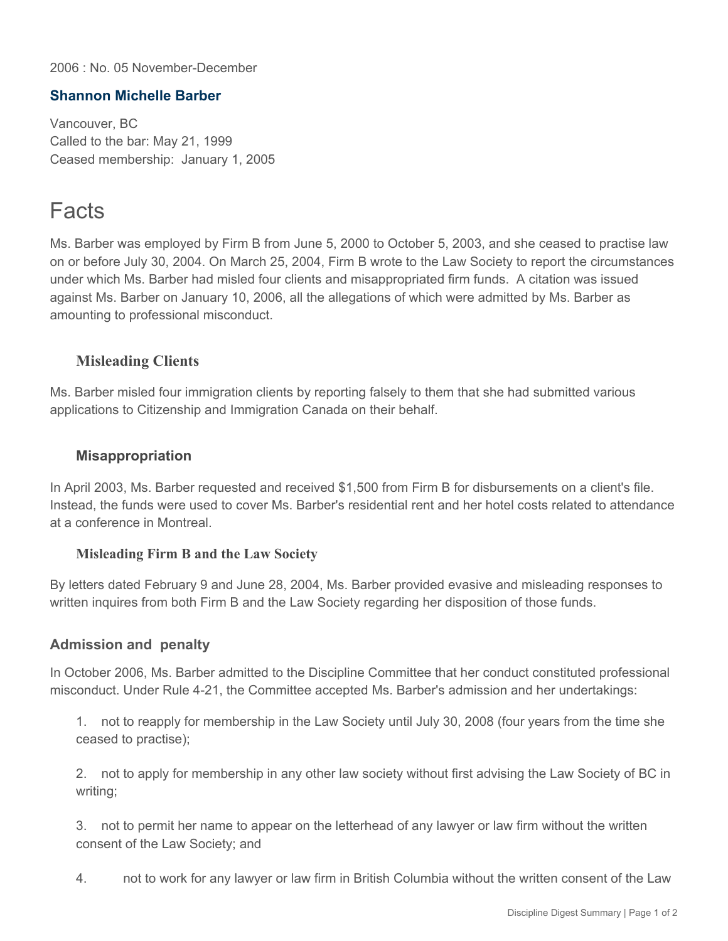2006 : No. 05 November-December

## **Shannon Michelle Barber**

Vancouver, BC Called to the bar: May 21, 1999 Ceased membership: January 1, 2005

# Facts

Ms. Barber was employed by Firm B from June 5, 2000 to October 5, 2003, and she ceased to practise law on or before July 30, 2004. On March 25, 2004, Firm B wrote to the Law Society to report the circumstances under which Ms. Barber had misled four clients and misappropriated firm funds. A citation was issued against Ms. Barber on January 10, 2006, all the allegations of which were admitted by Ms. Barber as amounting to professional misconduct.

## **Misleading Clients**

Ms. Barber misled four immigration clients by reporting falsely to them that she had submitted various applications to Citizenship and Immigration Canada on their behalf.

### **Misappropriation**

In April 2003, Ms. Barber requested and received \$1,500 from Firm B for disbursements on a client's file. Instead, the funds were used to cover Ms. Barber's residential rent and her hotel costs related to attendance at a conference in Montreal.

#### **Misleading Firm B and the Law Society**

By letters dated February 9 and June 28, 2004, Ms. Barber provided evasive and misleading responses to written inquires from both Firm B and the Law Society regarding her disposition of those funds.

## **Admission and penalty**

In October 2006, Ms. Barber admitted to the Discipline Committee that her conduct constituted professional misconduct. Under Rule 4-21, the Committee accepted Ms. Barber's admission and her undertakings:

1. not to reapply for membership in the Law Society until July 30, 2008 (four years from the time she ceased to practise);

2. not to apply for membership in any other law society without first advising the Law Society of BC in writing;

3. not to permit her name to appear on the letterhead of any lawyer or law firm without the written consent of the Law Society; and

4. not to work for any lawyer or law firm in British Columbia without the written consent of the Law